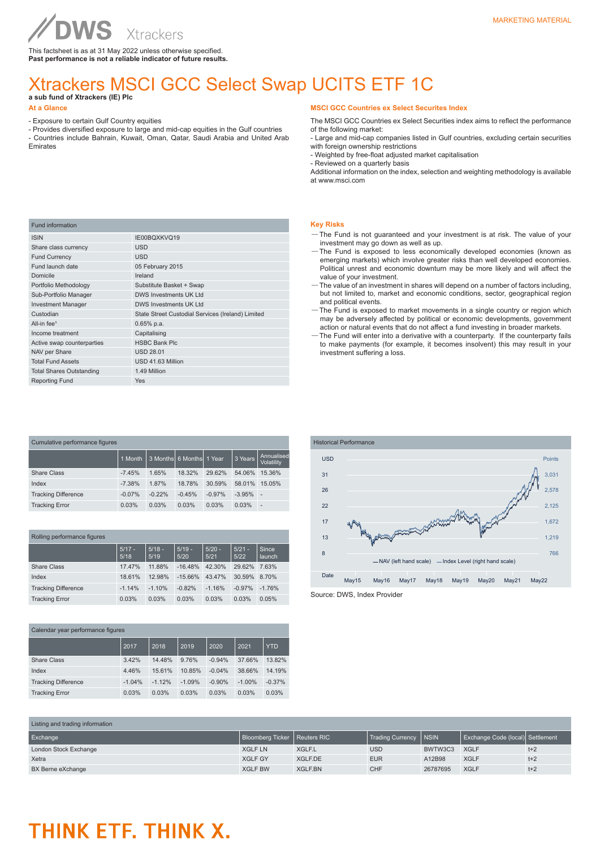This factsheet is as at 31 May 2022 unless otherwise specified. **Past performance is not a reliable indicator of future results.**

# Xtrackers MSCI GCC Select Swap UCITS ETF 1C

**a sub fund of Xtrackers (IE) Plc** 

### **At a Glance**

- Exposure to certain Gulf Country equities

WS

- Provides diversified exposure to large and mid-cap equities in the Gulf countries - Countries include Bahrain, Kuwait, Oman, Qatar, Saudi Arabia and United Arab Emirates

# **MSCI GCC Countries ex Select Securites Index**

The MSCI GCC Countries ex Select Securities index aims to reflect the performance of the following market:

- Large and mid-cap companies listed in Gulf countries, excluding certain securities with foreign ownership restrictions

- Weighted by free-float adjusted market capitalisation

- Reviewed on a quarterly basis

Additional information on the index, selection and weighting methodology is available at www.msci.com

| <b>Fund information</b>         |                                                   |
|---------------------------------|---------------------------------------------------|
| <b>ISIN</b>                     | IE00BQXKVQ19                                      |
| Share class currency            | <b>USD</b>                                        |
| <b>Fund Currency</b>            | <b>USD</b>                                        |
| Fund launch date                | 05 February 2015                                  |
| Domicile                        | Ireland                                           |
| Portfolio Methodology           | Substitute Basket + Swap                          |
| Sub-Portfolio Manager           | DWS Investments UK Ltd                            |
| <b>Investment Manager</b>       | <b>DWS Investments UK Ltd</b>                     |
| Custodian                       | State Street Custodial Services (Ireland) Limited |
| All-in fee <sup>1</sup>         | $0.65%$ p.a.                                      |
| Income treatment                | Capitalising                                      |
| Active swap counterparties      | <b>HSBC Bank Plc</b>                              |
| NAV per Share                   | <b>USD 28.01</b>                                  |
| <b>Total Fund Assets</b>        | USD 41.63 Million                                 |
| <b>Total Shares Outstanding</b> | 1.49 Million                                      |
| <b>Reporting Fund</b>           | <b>Yes</b>                                        |

| Cumulative performance figures |          |          |                            |          |          |                          |  |
|--------------------------------|----------|----------|----------------------------|----------|----------|--------------------------|--|
|                                | 1 Month  |          | 3 Months 66 Months 11 Year |          | 3 Years  | Annualised<br>Volatility |  |
| <b>Share Class</b>             | $-7.45%$ | 1.65%    | 18.32%                     | 29.62%   | 54.06%   | 15.36%                   |  |
| Index                          | $-7.38%$ | 1.87%    | 18.78%                     | 30.59%   | 58.01%   | 15.05%                   |  |
| <b>Tracking Difference</b>     | $-0.07%$ | $-0.22%$ | $-0.45%$                   | $-0.97%$ | $-3.95%$ | ÷                        |  |
| <b>Tracking Error</b>          | 0.03%    | 0.03%    | 0.03%                      | 0.03%    | 0.03%    | $\overline{\phantom{a}}$ |  |

| Rolling performance figures |                  |                  |                  |                  |                  |                        |  |
|-----------------------------|------------------|------------------|------------------|------------------|------------------|------------------------|--|
|                             | $5/17 -$<br>5/18 | $5/18 -$<br>5/19 | $5/19 -$<br>5/20 | $5/20 -$<br>5/21 | $5/21 -$<br>5/22 | Since<br><b>launch</b> |  |
| Share Class                 | 17.47%           | 11.88%           | $-16.48%$        | 42.30%           | 29.62%           | 7.63%                  |  |
| Index                       | 18.61%           | 12.98%           | $-15.66%$        | 43.47%           | 30.59%           | 8.70%                  |  |
| <b>Tracking Difference</b>  | $-1.14%$         | $-1.10%$         | $-0.82%$         | $-1.16%$         | $-0.97%$         | $-1.76%$               |  |
| <b>Tracking Error</b>       | 0.03%            | 0.03%            | 0.03%            | 0.03%            | 0.03%            | 0.05%                  |  |

| Calendar year performance figures |          |          |          |          |           |            |
|-----------------------------------|----------|----------|----------|----------|-----------|------------|
|                                   | 2017     | 2018     | 2019     | 2020     | 2021      | <b>YTD</b> |
| <b>Share Class</b>                | 3.42%    | 14.48%   | 9.76%    | $-0.94%$ | 37.66%    | 13.82%     |
| Index                             | 4.46%    | 15.61%   | 10.85%   | $-0.04%$ | 38.66%    | 14.19%     |
| <b>Tracking Difference</b>        | $-1.04%$ | $-1.12%$ | $-1.09%$ | $-0.90%$ | $-1.00\%$ | $-0.37%$   |
| <b>Tracking Error</b>             | 0.03%    | 0.03%    | 0.03%    | 0.03%    | 0.03%     | 0.03%      |

## **Key Risks**

- —The Fund is not guaranteed and your investment is at risk. The value of your investment may go down as well as up.
- —The Fund is exposed to less economically developed economies (known as emerging markets) which involve greater risks than well developed economies. Political unrest and economic downturn may be more likely and will affect the value of your investment.
- —The value of an investment in shares will depend on a number of factors including, but not limited to, market and economic conditions, sector, geographical region and political events.
- —The Fund is exposed to market movements in a single country or region which may be adversely affected by political or economic developments, government action or natural events that do not affect a fund investing in broader markets.
- —The Fund will enter into a derivative with a counterparty. If the counterparty fails to make payments (for example, it becomes insolvent) this may result in your investment suffering a loss.



| Listing and trading information |                                |                |                  |             |                                   |       |
|---------------------------------|--------------------------------|----------------|------------------|-------------|-----------------------------------|-------|
| Exchange                        | Bloomberg Ticker   Reuters RIC |                | Trading Currency | <b>NSIN</b> | Exchange Code (local)  Settlement |       |
| London Stock Exchange           | <b>XGLF LN</b>                 | XGLF.L         | <b>USD</b>       | BWTW3C3     | <b>XGLF</b>                       | $t+2$ |
| Xetra                           | <b>XGLF GY</b>                 | <b>XGLF.DE</b> | <b>EUR</b>       | A12B98      | <b>XGLF</b>                       | $t+2$ |
| BX Berne eXchange               | <b>XGLF BW</b>                 | XGLF.BN        | <b>CHF</b>       | 26787695    | <b>XGLF</b>                       | $t+2$ |

# THINK ETF. THINK X.